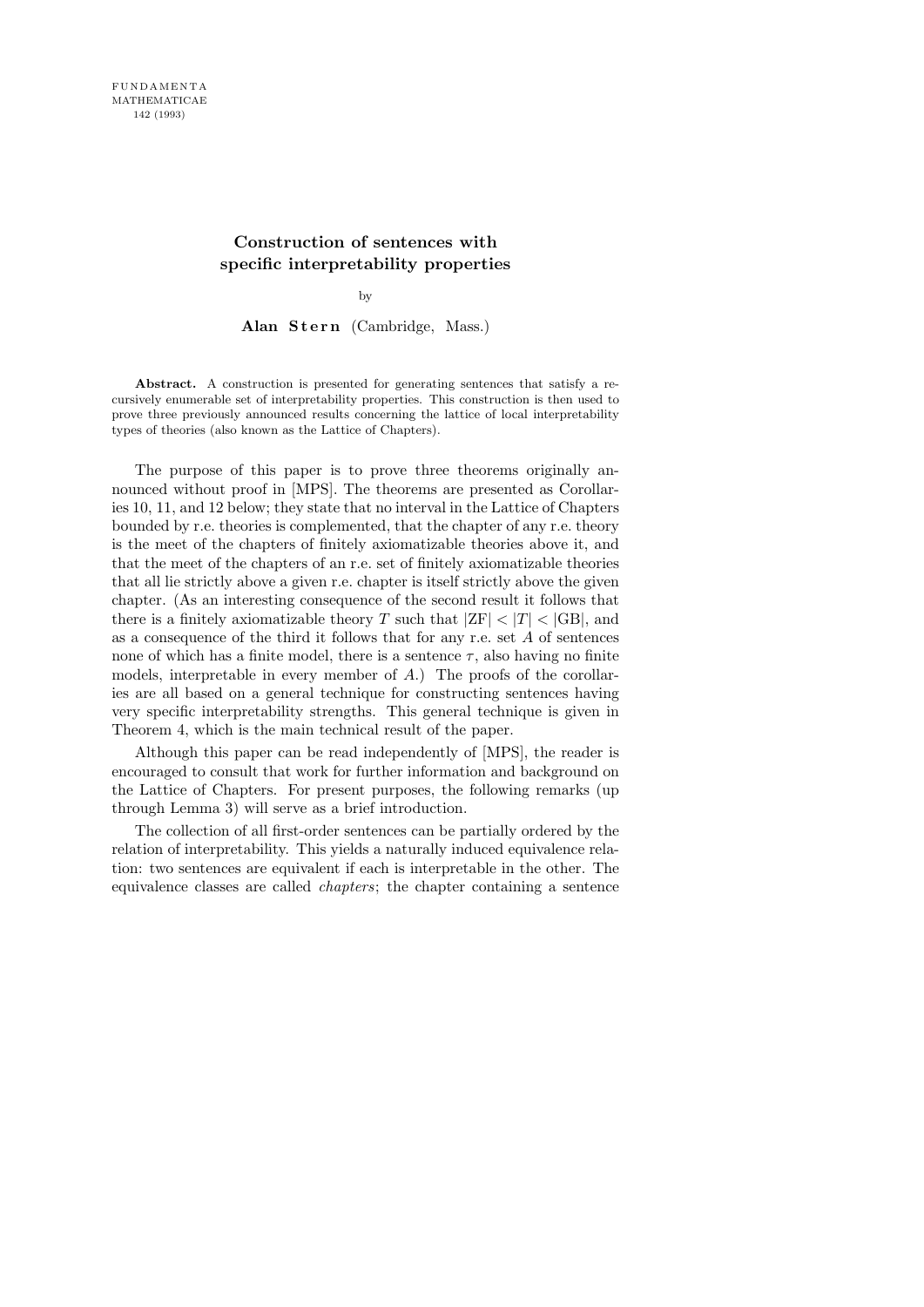# **Construction of sentences with specific interpretability properties**

by

Alan Stern (Cambridge, Mass.)

**Abstract.** A construction is presented for generating sentences that satisfy a recursively enumerable set of interpretability properties. This construction is then used to prove three previously announced results concerning the lattice of local interpretability types of theories (also known as the Lattice of Chapters).

The purpose of this paper is to prove three theorems originally announced without proof in [MPS]. The theorems are presented as Corollaries 10, 11, and 12 below; they state that no interval in the Lattice of Chapters bounded by r.e. theories is complemented, that the chapter of any r.e. theory is the meet of the chapters of finitely axiomatizable theories above it, and that the meet of the chapters of an r.e. set of finitely axiomatizable theories that all lie strictly above a given r.e. chapter is itself strictly above the given chapter. (As an interesting consequence of the second result it follows that there is a finitely axiomatizable theory T such that  $|ZF| < |T| < |GB|$ , and as a consequence of the third it follows that for any r.e. set  $A$  of sentences none of which has a finite model, there is a sentence  $\tau$ , also having no finite models, interpretable in every member of  $A$ .) The proofs of the corollaries are all based on a general technique for constructing sentences having very specific interpretability strengths. This general technique is given in Theorem 4, which is the main technical result of the paper.

Although this paper can be read independently of [MPS], the reader is encouraged to consult that work for further information and background on the Lattice of Chapters. For present purposes, the following remarks (up through Lemma 3) will serve as a brief introduction.

The collection of all first-order sentences can be partially ordered by the relation of interpretability. This yields a naturally induced equivalence relation: two sentences are equivalent if each is interpretable in the other. The equivalence classes are called chapters; the chapter containing a sentence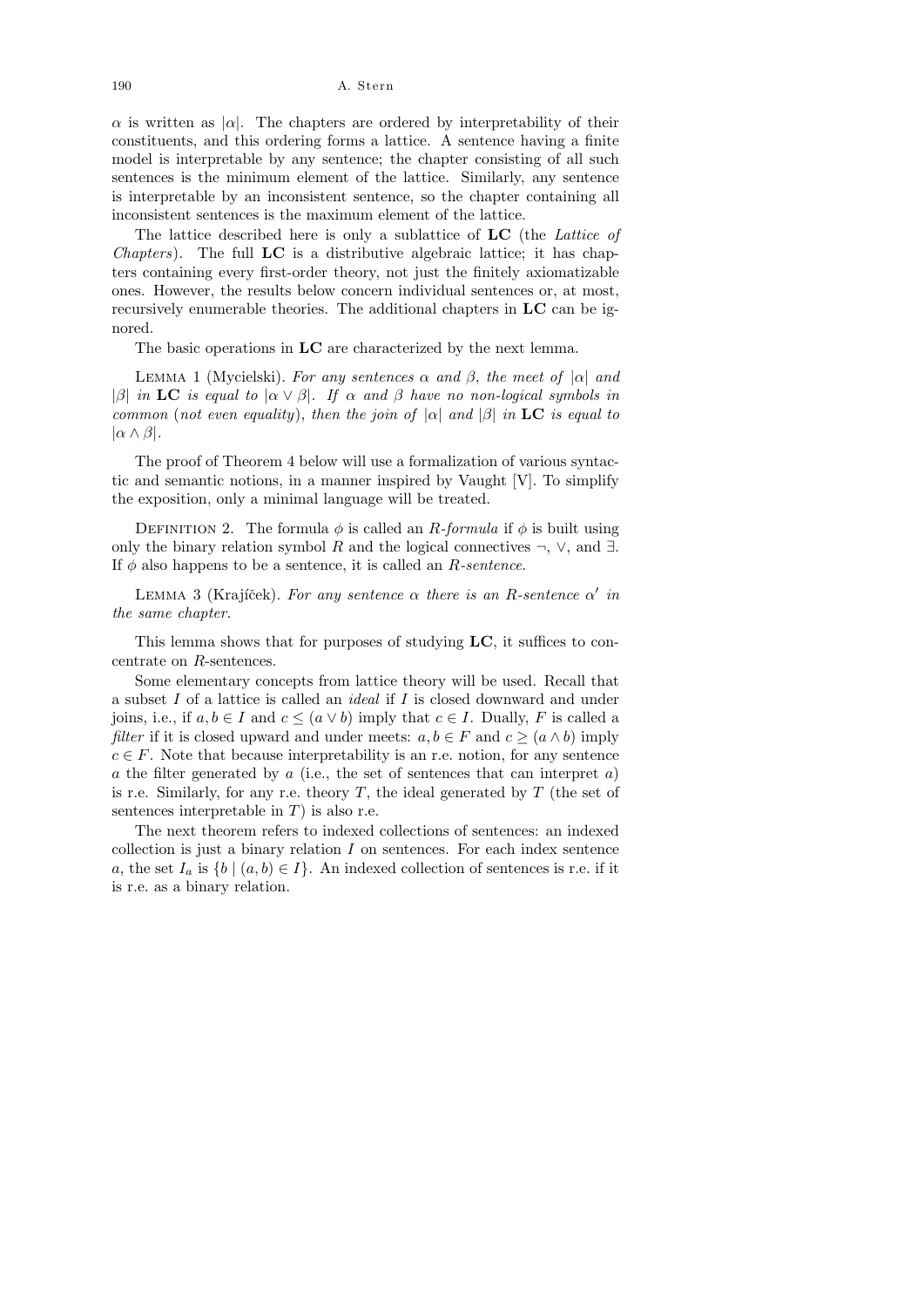$\alpha$  is written as | $\alpha$ . The chapters are ordered by interpretability of their constituents, and this ordering forms a lattice. A sentence having a finite model is interpretable by any sentence; the chapter consisting of all such sentences is the minimum element of the lattice. Similarly, any sentence is interpretable by an inconsistent sentence, so the chapter containing all inconsistent sentences is the maximum element of the lattice.

The lattice described here is only a sublattice of LC (the Lattice of *Chapters*). The full  $LC$  is a distributive algebraic lattice; it has chapters containing every first-order theory, not just the finitely axiomatizable ones. However, the results below concern individual sentences or, at most, recursively enumerable theories. The additional chapters in LC can be ignored.

The basic operations in LC are characterized by the next lemma.

LEMMA 1 (Mycielski). For any sentences  $\alpha$  and  $\beta$ , the meet of  $|\alpha|$  and |β| in LC is equal to  $|\alpha \vee \beta|$ . If  $\alpha$  and  $\beta$  have no non-logical symbols in common (not even equality), then the join of  $|\alpha|$  and  $|\beta|$  in LC is equal to  $|\alpha \wedge \beta|$ .

The proof of Theorem 4 below will use a formalization of various syntactic and semantic notions, in a manner inspired by Vaught [V]. To simplify the exposition, only a minimal language will be treated.

DEFINITION 2. The formula  $\phi$  is called an R-formula if  $\phi$  is built using only the binary relation symbol R and the logical connectives  $\neg$ ,  $\vee$ , and  $\exists$ . If  $\phi$  also happens to be a sentence, it is called an *R*-sentence.

LEMMA 3 (Krajíček). For any sentence  $\alpha$  there is an R-sentence  $\alpha'$  in the same chapter.

This lemma shows that for purposes of studying LC, it suffices to concentrate on R-sentences.

Some elementary concepts from lattice theory will be used. Recall that a subset I of a lattice is called an ideal if I is closed downward and under joins, i.e., if  $a, b \in I$  and  $c \leq (a \vee b)$  imply that  $c \in I$ . Dually, F is called a *filter* if it is closed upward and under meets:  $a, b \in F$  and  $c \geq (a \wedge b)$  imply  $c \in F$ . Note that because interpretability is an r.e. notion, for any sentence a the filter generated by a (i.e., the set of sentences that can interpret a) is r.e. Similarly, for any r.e. theory  $T$ , the ideal generated by  $T$  (the set of sentences interpretable in  $T$ ) is also r.e.

The next theorem refers to indexed collections of sentences: an indexed collection is just a binary relation  $I$  on sentences. For each index sentence a, the set  $I_a$  is  $\{b \mid (a, b) \in I\}$ . An indexed collection of sentences is r.e. if it is r.e. as a binary relation.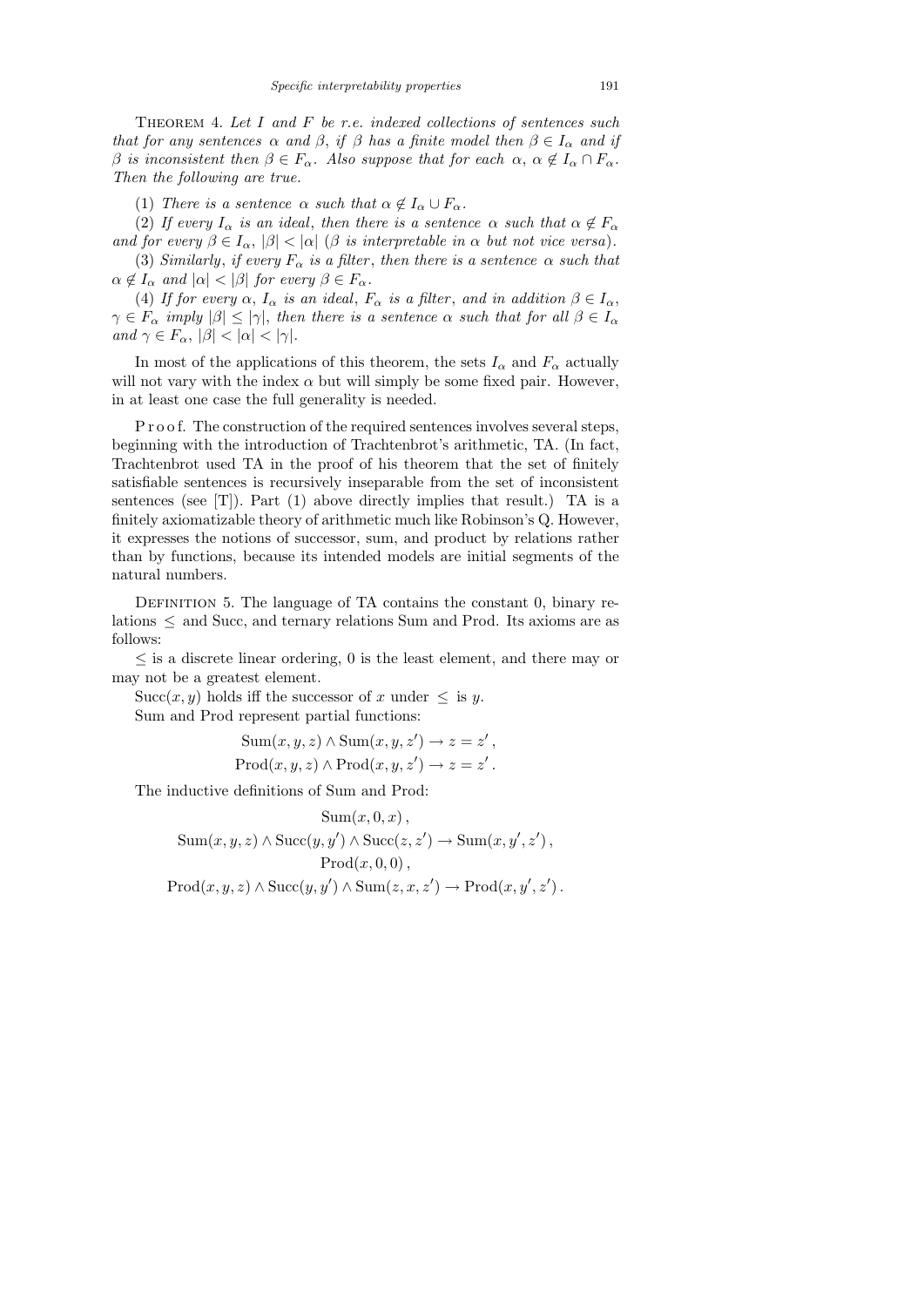THEOREM 4. Let  $I$  and  $F$  be r.e. indexed collections of sentences such that for any sentences  $\alpha$  and  $\beta$ , if  $\beta$  has a finite model then  $\beta \in I_{\alpha}$  and if β is inconsistent then  $\beta \in F_\alpha$ . Also suppose that for each  $\alpha, \alpha \notin I_\alpha \cap F_\alpha$ . Then the following are true.

(1) There is a sentence  $\alpha$  such that  $\alpha \notin I_{\alpha} \cup F_{\alpha}$ .

(2) If every  $I_{\alpha}$  is an ideal, then there is a sentence  $\alpha$  such that  $\alpha \notin F_{\alpha}$ and for every  $\beta \in I_\alpha$ ,  $|\beta| < |\alpha|$  ( $\beta$  is interpretable in  $\alpha$  but not vice versa).

(3) Similarly, if every  $F_{\alpha}$  is a filter, then there is a sentence  $\alpha$  such that  $\alpha \notin I_{\alpha}$  and  $|\alpha| < |\beta|$  for every  $\beta \in F_{\alpha}$ .

(4) If for every  $\alpha$ ,  $I_{\alpha}$  is an ideal,  $F_{\alpha}$  is a filter, and in addition  $\beta \in I_{\alpha}$ ,  $\gamma \in F_\alpha$  imply  $|\beta| \le |\gamma|$ , then there is a sentence  $\alpha$  such that for all  $\beta \in I_\alpha$ and  $\gamma \in F_\alpha$ ,  $|\beta| < |\alpha| < |\gamma|$ .

In most of the applications of this theorem, the sets  $I_{\alpha}$  and  $F_{\alpha}$  actually will not vary with the index  $\alpha$  but will simply be some fixed pair. However, in at least one case the full generality is needed.

P r o o f. The construction of the required sentences involves several steps, beginning with the introduction of Trachtenbrot's arithmetic, TA. (In fact, Trachtenbrot used TA in the proof of his theorem that the set of finitely satisfiable sentences is recursively inseparable from the set of inconsistent sentences (see [T]). Part  $(1)$  above directly implies that result.) TA is a finitely axiomatizable theory of arithmetic much like Robinson's Q. However, it expresses the notions of successor, sum, and product by relations rather than by functions, because its intended models are initial segments of the natural numbers.

DEFINITION 5. The language of TA contains the constant 0, binary relations ≤ and Succ, and ternary relations Sum and Prod. Its axioms are as follows:

 $\leq$  is a discrete linear ordering, 0 is the least element, and there may or may not be a greatest element.

Succ $(x, y)$  holds iff the successor of x under  $\leq$  is y. Sum and Prod represent partial functions:

Sum
$$
(x, y, z) \land
$$
Sum $(x, y, z') \rightarrow z = z'$ ,  
\nProof $(x, y, z) \land$ Prod $(x, y, z') \rightarrow z = z'$ .

The inductive definitions of Sum and Prod:

$$
Sum(x, 0, x),
$$
  
\n
$$
Sum(x, y, z) \land Succ(y, y') \land Succ(z, z') \rightarrow Sum(x, y', z'),
$$
  
\n
$$
Prod(x, 0, 0),
$$
  
\n
$$
Prod(x, y, z) \land Succ(y, y') \land Sum(z, x, z') \rightarrow Prod(x, y', z').
$$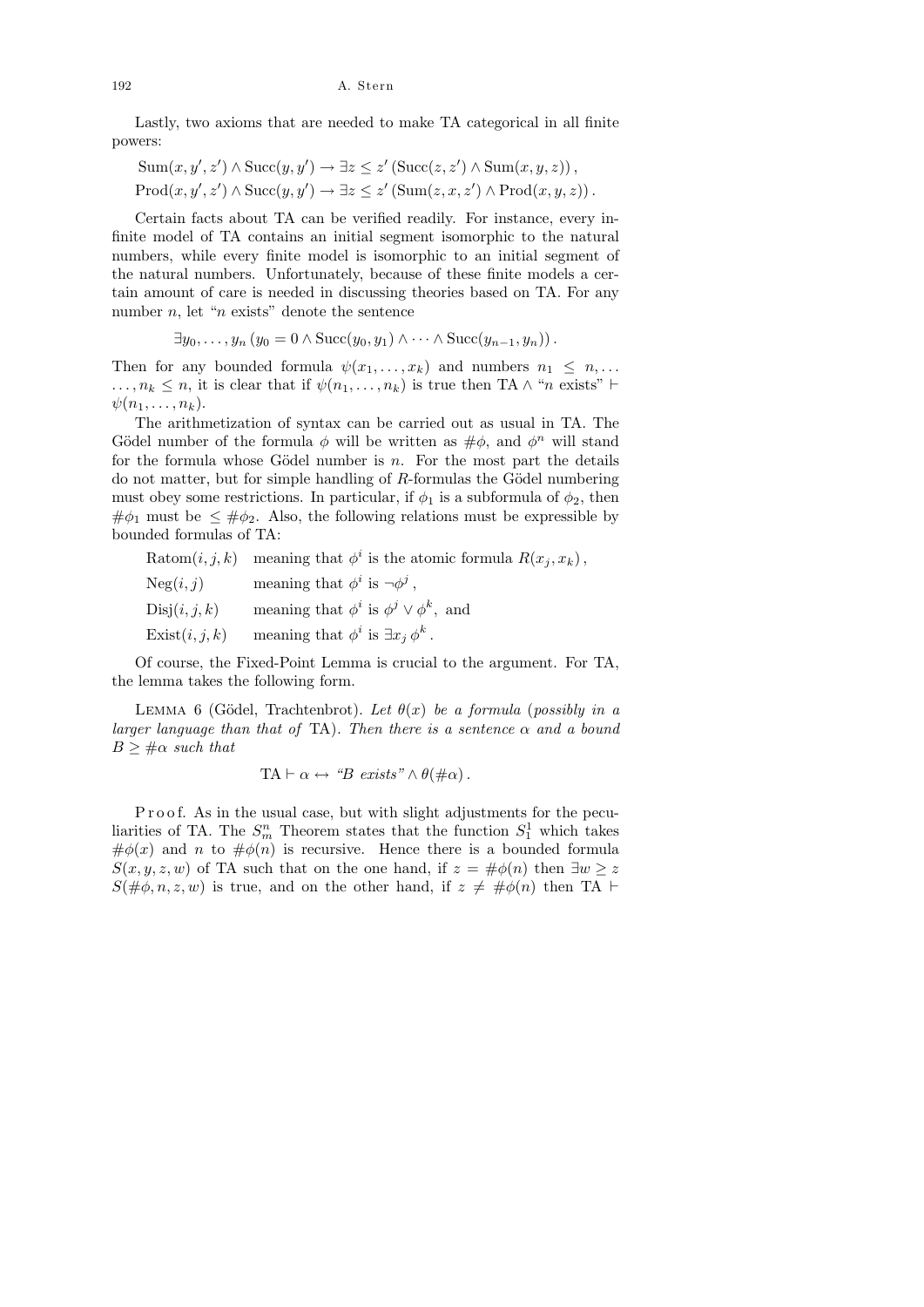### 192 A. Stern

Lastly, two axioms that are needed to make TA categorical in all finite powers:

Sum
$$
(x, y', z')
$$
  $\land$  Succ $(y, y') \rightarrow \exists z \le z'$  (Succ $(z, z')$   $\land$  Sum $(x, y, z)$ ),  
Prod $(x, y', z')$   $\land$  Succ $(y, y') \rightarrow \exists z \le z'$  (Sum $(z, x, z') \land$  Prod $(x, y, z)$ ).

Certain facts about TA can be verified readily. For instance, every infinite model of TA contains an initial segment isomorphic to the natural numbers, while every finite model is isomorphic to an initial segment of the natural numbers. Unfortunately, because of these finite models a certain amount of care is needed in discussing theories based on TA. For any number  $n$ , let " $n$  exists" denote the sentence

$$
\exists y_0, \ldots, y_n \left( y_0 = 0 \land \text{Succ}(y_0, y_1) \land \cdots \land \text{Succ}(y_{n-1}, y_n) \right).
$$

Then for any bounded formula  $\psi(x_1, \ldots, x_k)$  and numbers  $n_1 \leq n, \ldots$  $\ldots, n_k \leq n$ , it is clear that if  $\psi(n_1, \ldots, n_k)$  is true then TA  $\wedge$  "n exists"  $\vdash$  $\psi(n_1,\ldots,n_k).$ 

The arithmetization of syntax can be carried out as usual in TA. The Gödel number of the formula  $\phi$  will be written as  $\#\phi$ , and  $\phi^n$  will stand for the formula whose Gödel number is  $n$ . For the most part the details do not matter, but for simple handling of  $R$ -formulas the Gödel numbering must obey some restrictions. In particular, if  $\phi_1$  is a subformula of  $\phi_2$ , then  $\#\phi_1$  must be  $\leq \#\phi_2$ . Also, the following relations must be expressible by bounded formulas of TA:

Ratom $(i, j, k)$  meaning that  $\phi^i$  is the atomic formula  $R(x_j, x_k)$ ,

| Neg(i, j)      | meaning that $\phi^i$ is $\neg \phi^j$ ,            |
|----------------|-----------------------------------------------------|
| Disj(i, j, k)  | meaning that $\phi^i$ is $\phi^j \vee \phi^k$ , and |
| Exist(i, j, k) | meaning that $\phi^i$ is $\exists x_i \, \phi^k$ .  |

Of course, the Fixed-Point Lemma is crucial to the argument. For TA, the lemma takes the following form.

LEMMA 6 (Gödel, Trachtenbrot). Let  $\theta(x)$  be a formula (possibly in a larger language than that of TA). Then there is a sentence  $\alpha$  and a bound  $B \geq \text{#}\alpha$  such that

$$
TA \vdash \alpha \leftrightarrow \text{``}B \text{ exists''} \land \theta(\#\alpha).
$$

P r o o f. As in the usual case, but with slight adjustments for the peculiarities of TA. The  $S_m^n$  Theorem states that the function  $S_1^1$  which takes  $\#\phi(x)$  and n to  $\#\phi(n)$  is recursive. Hence there is a bounded formula  $S(x, y, z, w)$  of TA such that on the one hand, if  $z = #\phi(n)$  then  $\exists w \geq z$  $S(\#\phi, n, z, w)$  is true, and on the other hand, if  $z \neq \#\phi(n)$  then TA  $\vdash$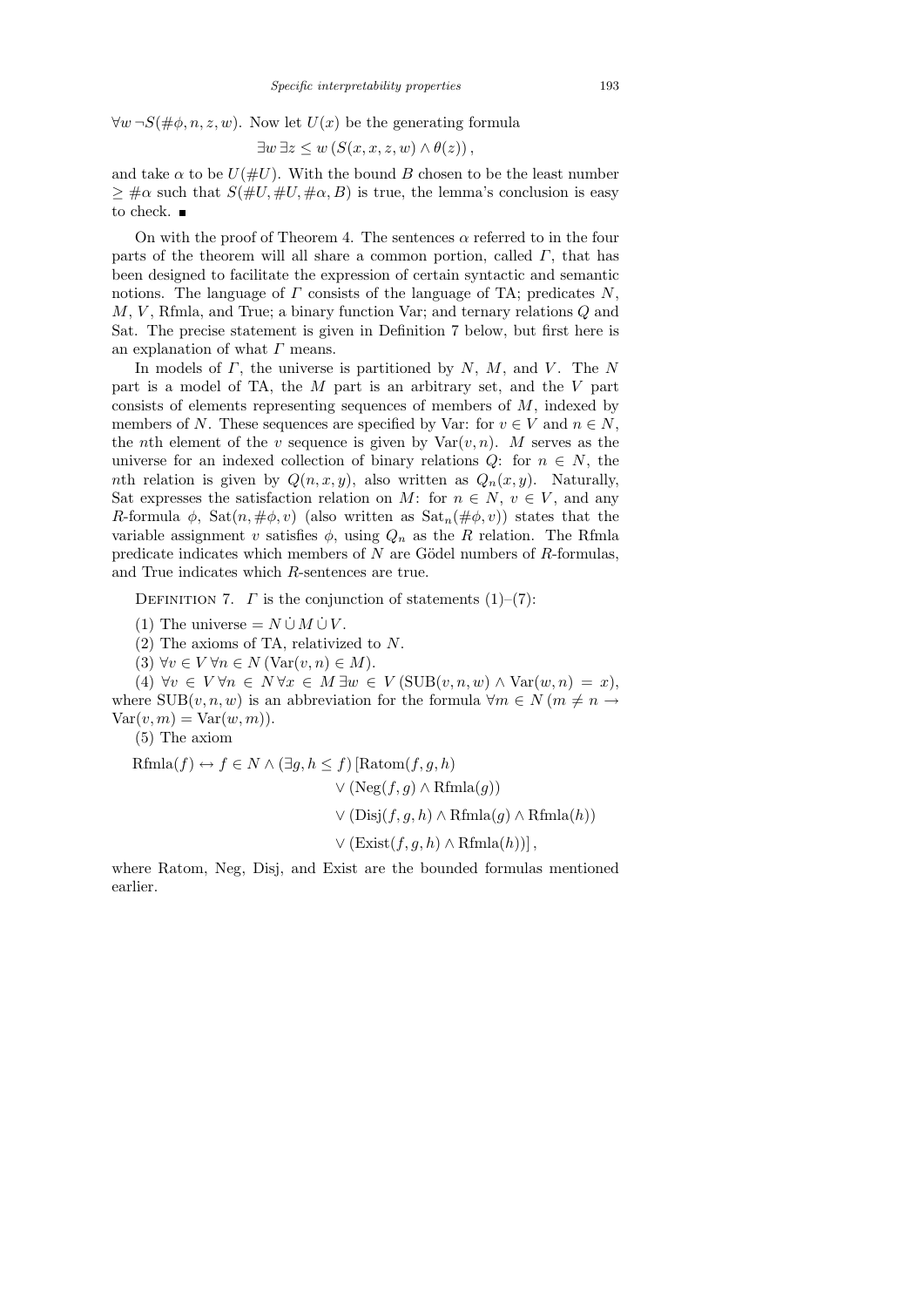$\forall w \neg S(\text{#}\phi, n, z, w)$ . Now let  $U(x)$  be the generating formula

$$
\exists w \exists z \le w \left( S(x, x, z, w) \land \theta(z) \right),
$$

and take  $\alpha$  to be  $U(\#U)$ . With the bound B chosen to be the least number  $\geq \frac{4}{3} \alpha$  such that  $S(\frac{4}{3}U, \frac{4}{3}U, \frac{4}{3} \alpha, B)$  is true, the lemma's conclusion is easy to check.  $\blacksquare$ 

On with the proof of Theorem 4. The sentences  $\alpha$  referred to in the four parts of the theorem will all share a common portion, called  $\Gamma$ , that has been designed to facilitate the expression of certain syntactic and semantic notions. The language of  $\Gamma$  consists of the language of TA; predicates  $N$ , M, V , Rfmla, and True; a binary function Var; and ternary relations Q and Sat. The precise statement is given in Definition 7 below, but first here is an explanation of what  $\Gamma$  means.

In models of  $\Gamma$ , the universe is partitioned by  $N$ ,  $M$ , and  $V$ . The N part is a model of TA, the M part is an arbitrary set, and the V part consists of elements representing sequences of members of  $M$ , indexed by members of N. These sequences are specified by Var: for  $v \in V$  and  $n \in N$ , the *n*th element of the v sequence is given by  $\text{Var}(v, n)$ . M serves as the universe for an indexed collection of binary relations  $Q$ : for  $n \in N$ , the nth relation is given by  $Q(n, x, y)$ , also written as  $Q_n(x, y)$ . Naturally, Sat expresses the satisfaction relation on M: for  $n \in N$ ,  $v \in V$ , and any R-formula  $\phi$ , Sat $(n, \#\phi, v)$  (also written as  $\text{Sat}_n(\#\phi, v)$ ) states that the variable assignment v satisfies  $\phi$ , using  $Q_n$  as the R relation. The Rfmla predicate indicates which members of  $N$  are Gödel numbers of  $R$ -formulas, and True indicates which R-sentences are true.

DEFINITION 7.  $\Gamma$  is the conjunction of statements (1)–(7):

(1) The universe =  $N \cup M \cup V$ .

(2) The axioms of TA, relativized to N.

(3)  $\forall v \in V \forall n \in N \ (Var(v, n) \in M).$ 

(4)  $\forall v \in V \forall n \in N \forall x \in M \exists w \in V (\text{SUB}(v, n, w) \land \text{Var}(w, n) = x),$ where  $SUB(v, n, w)$  is an abbreviation for the formula  $\forall m \in N (m \neq n \rightarrow$  $Var(v, m) = Var(w, m)$ .

(5) The axiom

$$
\begin{aligned} \text{Rfmla}(f) &\leftrightarrow f \in N \land (\exists g, h \le f) \left[ \text{Ratom}(f, g, h) \right. \\ &\qquad \lor (\text{Neg}(f, g) \land \text{Rfmla}(g)) \\ &\qquad \lor (\text{Disj}(f, g, h) \land \text{Rfmla}(g) \land \text{Rfmla}(h)) \right] \\ &\qquad \lor (\text{Exist}(f, g, h) \land \text{Rfmla}(h)) \right], \end{aligned}
$$

where Ratom, Neg, Disj, and Exist are the bounded formulas mentioned earlier.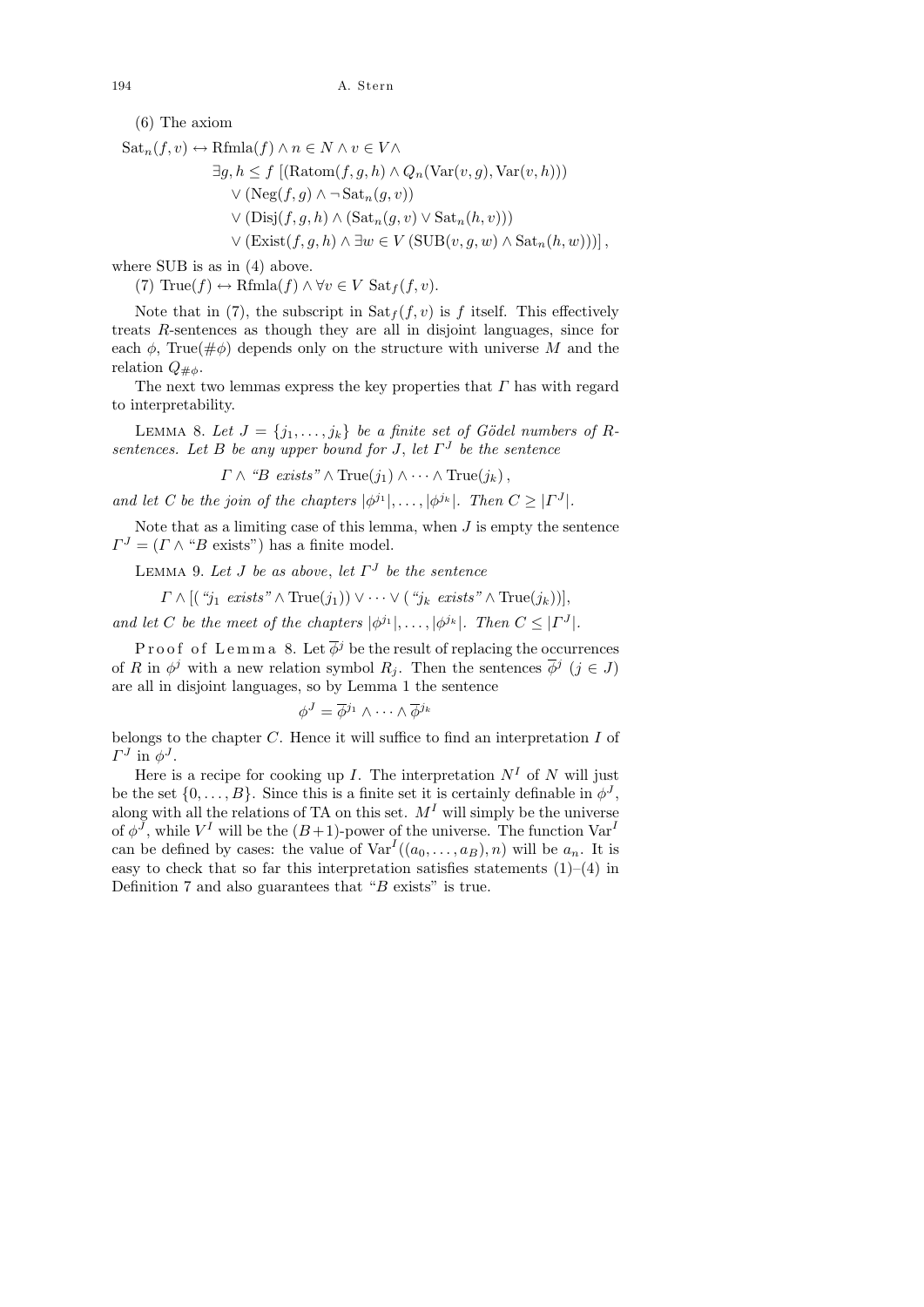(6) The axiom

$$
Sat_n(f, v) \leftrightarrow \text{Rfmla}(f) \land n \in N \land v \in V \land
$$
  
\n
$$
\exists g, h \le f \left[ (\text{Ratom}(f, g, h) \land Q_n(\text{Var}(v, g), \text{Var}(v, h))) \right. \n\lor (\text{Neg}(f, g) \land \neg \text{Sat}_n(g, v)) \n\lor (\text{Disj}(f, g, h) \land (\text{Sat}_n(g, v) \lor \text{Sat}_n(h, v))) \n\lor (\text{Exist}(f, g, h) \land \exists w \in V (\text{SUB}(v, g, w) \land \text{Sat}_n(h, w)) ) \right],
$$

where SUB is as in (4) above.

(7) True(f)  $\leftrightarrow$  Rfmla(f)  $\land \forall v \in V$  Sat<sub>f</sub>(f, v).

Note that in (7), the subscript in  $\text{Sat}_f(f, v)$  is f itself. This effectively treats R-sentences as though they are all in disjoint languages, since for each  $\phi$ , True( $\#\phi$ ) depends only on the structure with universe M and the relation  $Q_{\mu\phi}$ .

The next two lemmas express the key properties that  $\Gamma$  has with regard to interpretability.

LEMMA 8. Let  $J = \{j_1, \ldots, j_k\}$  be a finite set of Gödel numbers of Rsentences. Let B be any upper bound for J, let  $\Gamma^J$  be the sentence

 $\Gamma \wedge \text{``}B \text{ exists''} \wedge \text{True}(j_1) \wedge \cdots \wedge \text{True}(j_k),$ 

and let C be the join of the chapters  $|\phi^{j_1}|, \ldots, |\phi^{j_k}|$ . Then  $C \geq |\Gamma^J|$ .

Note that as a limiting case of this lemma, when  $J$  is empty the sentence  $\Gamma^{J} = (\Gamma \wedge "B \text{ exists"})$  has a finite model.

LEMMA 9. Let J be as above, let  $\Gamma^J$  be the sentence

$$
\Gamma \wedge [(\ ^{\omega}j_{1} \ \text{exists} \ ^{\gamma} \wedge \text{True}(j_{1})) \vee \cdots \vee (\ ^{\omega}j_{k} \ \text{exists} \ ^{\gamma} \wedge \text{True}(j_{k}))],
$$

and let C be the meet of the chapters  $|\phi^{j_1}|, \ldots, |\phi^{j_k}|$ . Then  $C \leq |\Gamma^J|$ .

Proof of Lemma 8. Let  $\overline{\phi}^j$  be the result of replacing the occurrences of R in  $\phi^j$  with a new relation symbol  $R_j$ . Then the sentences  $\overline{\phi}^j$   $(j \in J)$ are all in disjoint languages, so by Lemma 1 the sentence

$$
\phi^J = \overline{\phi}^{j_1} \wedge \cdots \wedge \overline{\phi}^{j_k}
$$

belongs to the chapter  $C$ . Hence it will suffice to find an interpretation  $I$  of  $\Gamma^J$  in  $\phi^J$ .

Here is a recipe for cooking up I. The interpretation  $N<sup>I</sup>$  of N will just be the set  $\{0, \ldots, B\}$ . Since this is a finite set it is certainly definable in  $\phi^J$ , along with all the relations of TA on this set.  $M<sup>I</sup>$  will simply be the universe of  $\phi^J$ , while  $V^I$  will be the  $(B+1)$ -power of the universe. The function  $Var^I$ can be defined by cases: the value of  $\text{Var}^I((a_0,\ldots,a_B),n)$  will be  $a_n$ . It is easy to check that so far this interpretation satisfies statements  $(1)$ – $(4)$  in Definition 7 and also guarantees that "B exists" is true.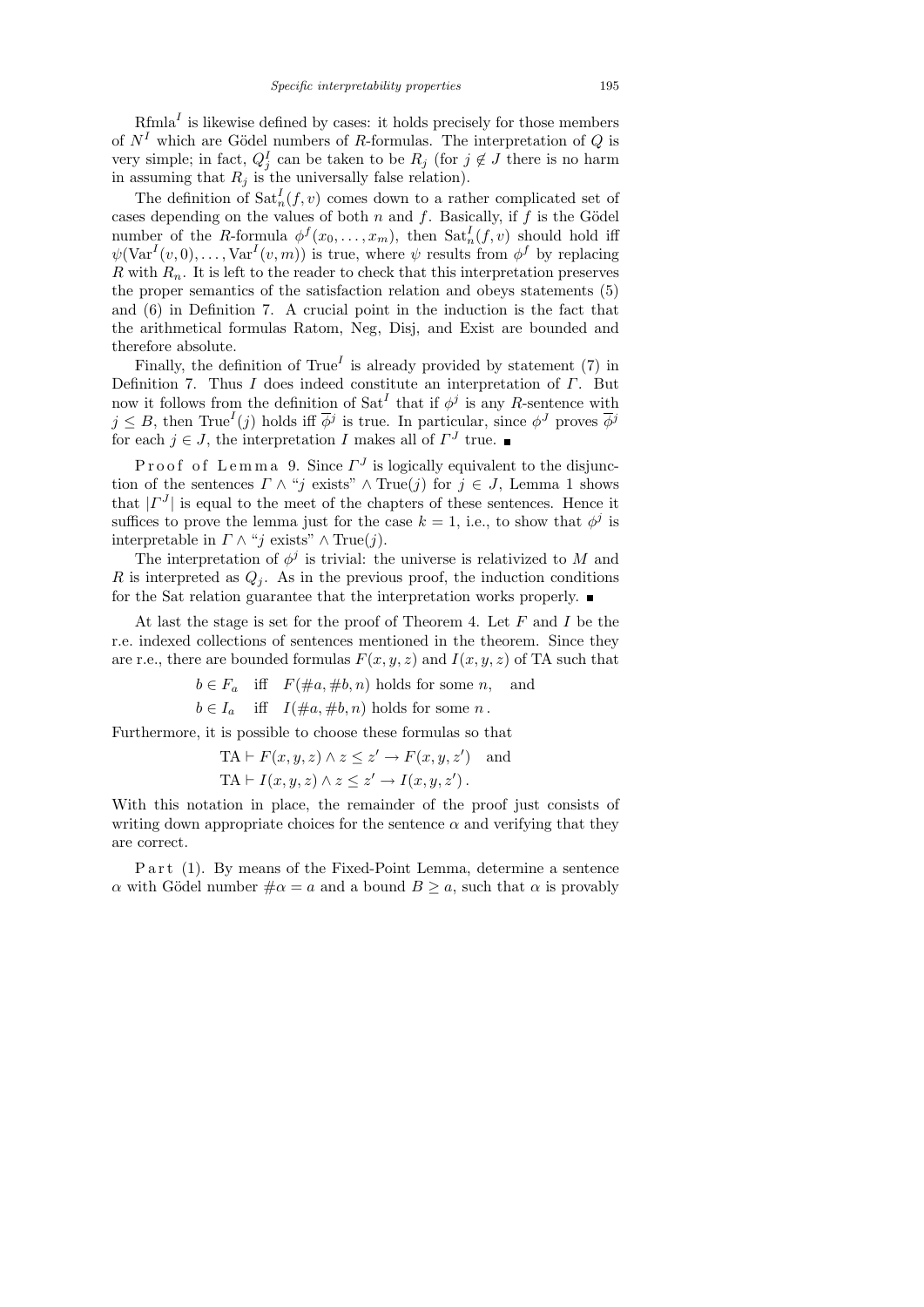$Rfmla<sup>I</sup>$  is likewise defined by cases: it holds precisely for those members of  $N<sup>I</sup>$  which are Gödel numbers of R-formulas. The interpretation of Q is very simple; in fact,  $Q_j^I$  can be taken to be  $R_j$  (for  $j \notin J$  there is no harm in assuming that  $R_j$  is the universally false relation).

The definition of  $\text{Sat}_n^I(f, v)$  comes down to a rather complicated set of cases depending on the values of both n and f. Basically, if f is the Gödel number of the R-formula  $\phi^f(x_0,\ldots,x_m)$ , then  $\text{Sat}^I_n(f,v)$  should hold iff  $\psi(\text{Var}^I(v,0),\ldots,\text{Var}^I(v,m))$  is true, where  $\psi$  results from  $\phi^f$  by replacing  $R$  with  $R_n$ . It is left to the reader to check that this interpretation preserves the proper semantics of the satisfaction relation and obeys statements (5) and (6) in Definition 7. A crucial point in the induction is the fact that the arithmetical formulas Ratom, Neg, Disj, and Exist are bounded and therefore absolute.

Finally, the definition of  $True<sup>I</sup>$  is already provided by statement (7) in Definition 7. Thus I does indeed constitute an interpretation of  $\Gamma$ . But now it follows from the definition of  $\text{Sat}^I$  that if  $\phi^j$  is any R-sentence with  $j \leq B$ , then True<sup>I</sup>(j) holds iff  $\overline{\phi}^j$  is true. In particular, since  $\phi^J$  proves  $\overline{\phi}^j$ for each  $j \in J$ , the interpretation I makes all of  $\Gamma^J$  true.

Proof of Lemma 9. Since  $\Gamma^J$  is logically equivalent to the disjunction of the sentences  $\Gamma \wedge "j \text{ exists" } \wedge \text{True}(j)$  for  $j \in J$ , Lemma 1 shows that  $|I^J|$  is equal to the meet of the chapters of these sentences. Hence it suffices to prove the lemma just for the case  $k = 1$ , i.e., to show that  $\phi^{j}$  is interpretable in  $\Gamma \wedge "j$  exists"  $\wedge$  True $(j)$ .

The interpretation of  $\phi^j$  is trivial: the universe is relativized to M and R is interpreted as  $Q_i$ . As in the previous proof, the induction conditions for the Sat relation guarantee that the interpretation works properly.

At last the stage is set for the proof of Theorem 4. Let  $F$  and  $I$  be the r.e. indexed collections of sentences mentioned in the theorem. Since they are r.e., there are bounded formulas  $F(x, y, z)$  and  $I(x, y, z)$  of TA such that

 $b \in F_a$  iff  $F(\text{#a}, \text{#b}, n)$  holds for some n, and

 $b \in I_a$  iff  $I(\text{#}a, \text{#}b, n)$  holds for some n.

Furthermore, it is possible to choose these formulas so that

$$
TA \vdash F(x, y, z) \land z \leq z' \rightarrow F(x, y, z') \text{ and}
$$
  

$$
TA \vdash I(x, y, z) \land z \leq z' \rightarrow I(x, y, z').
$$

With this notation in place, the remainder of the proof just consists of writing down appropriate choices for the sentence  $\alpha$  and verifying that they are correct.

P a r t (1). By means of the Fixed-Point Lemma, determine a sentence α with Gödel number  $\#\alpha = a$  and a bound  $B \ge a$ , such that  $\alpha$  is provably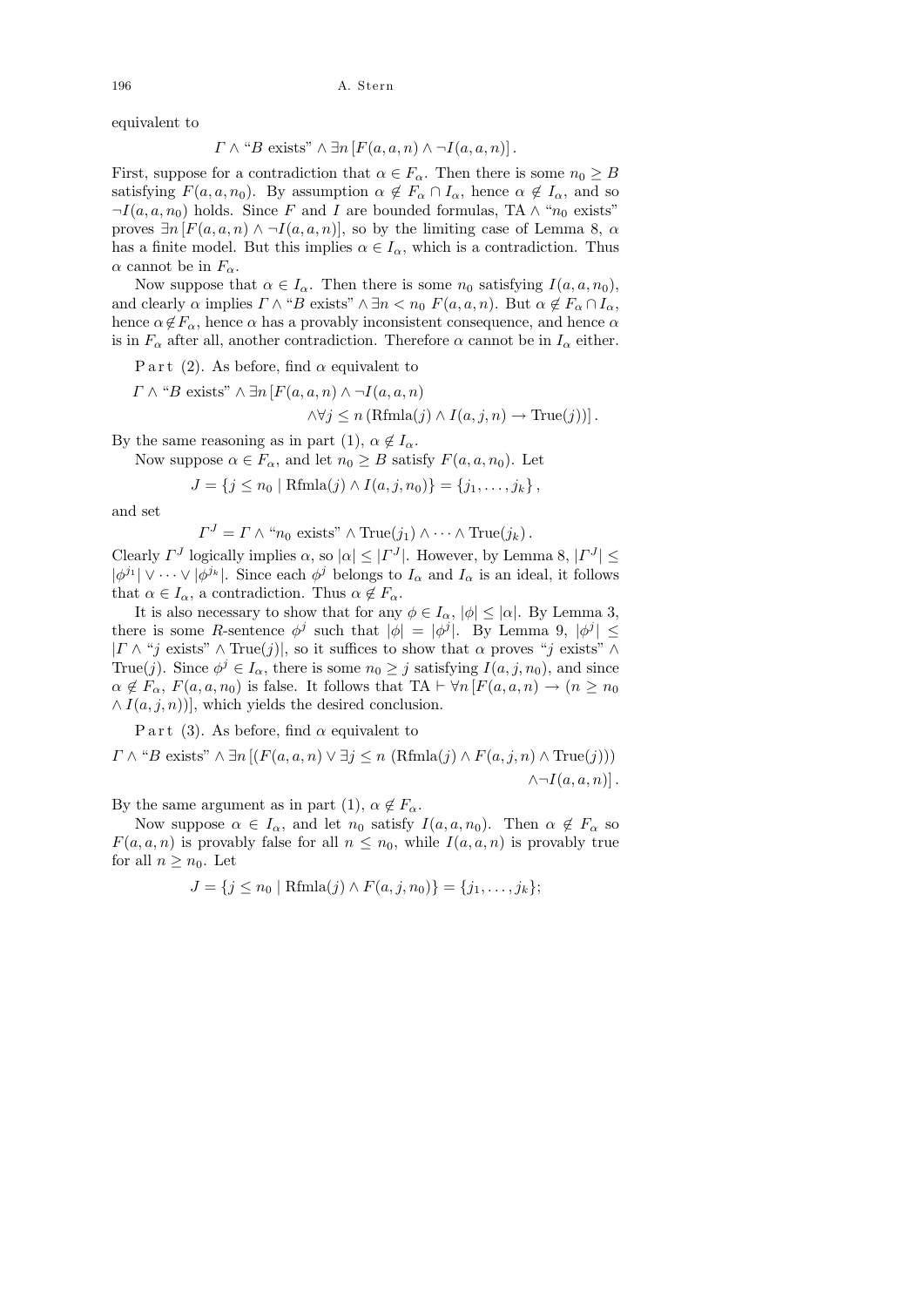196 A. Stern

equivalent to

$$
\Gamma \wedge ``B \text{ exists}" \wedge \exists n \left[ F(a, a, n) \wedge \neg I(a, a, n) \right].
$$

First, suppose for a contradiction that  $\alpha \in F_{\alpha}$ . Then there is some  $n_0 \geq B$ satisfying  $F(a, a, n_0)$ . By assumption  $\alpha \notin F_\alpha \cap I_\alpha$ , hence  $\alpha \notin I_\alpha$ , and so  $\neg I(a, a, n_0)$  holds. Since F and I are bounded formulas, TA  $\wedge$  " $n_0$  exists" proves  $\exists n [F(a, a, n) \land \neg I(a, a, n)]$ , so by the limiting case of Lemma 8,  $\alpha$ has a finite model. But this implies  $\alpha \in I_{\alpha}$ , which is a contradiction. Thus  $\alpha$  cannot be in  $F_{\alpha}$ .

Now suppose that  $\alpha \in I_{\alpha}$ . Then there is some  $n_0$  satisfying  $I(a, a, n_0)$ , and clearly  $\alpha$  implies  $\Gamma \wedge \text{``}B$  exists"  $\wedge \exists n \langle n_0 F(a, a, n) \rangle$ . But  $\alpha \notin F_\alpha \cap I_\alpha$ , hence  $\alpha \notin F_\alpha$ , hence  $\alpha$  has a provably inconsistent consequence, and hence  $\alpha$ is in  $F_{\alpha}$  after all, another contradiction. Therefore  $\alpha$  cannot be in  $I_{\alpha}$  either.

P art (2). As before, find  $\alpha$  equivalent to

$$
\Gamma \wedge \text{``}B
$$
 exists"  $\wedge \exists n \left[ F(a, a, n) \wedge \neg I(a, a, n) \right.$   
 $\wedge \forall j \leq n \left( \text{Rfmla}(j) \wedge I(a, j, n) \rightarrow \text{True}(j) \right) \right].$ 

By the same reasoning as in part (1),  $\alpha \notin I_{\alpha}$ .

Now suppose  $\alpha \in F_{\alpha}$ , and let  $n_0 \geq B$  satisfy  $F(a, a, n_0)$ . Let

 $J = \{j \leq n_0 \mid \text{Rfmla}(j) \land I(a, j, n_0)\} = \{j_1, \ldots, j_k\},\$ 

and set

$$
\Gamma^{J} = \Gamma \wedge "n_0 \text{ exists" } \wedge \text{True}(j_1) \wedge \cdots \wedge \text{True}(j_k).
$$

Clearly  $\Gamma^J$  logically implies  $\alpha$ , so  $|\alpha| \leq |\Gamma^J|$ . However, by Lemma 8,  $|\Gamma^J| \leq$  $|\phi^{j_1}| \vee \cdots \vee |\phi^{j_k}|$ . Since each  $\phi^j$  belongs to  $I_\alpha$  and  $I_\alpha$  is an ideal, it follows that  $\alpha \in I_{\alpha}$ , a contradiction. Thus  $\alpha \notin F_{\alpha}$ .

It is also necessary to show that for any  $\phi \in I_\alpha$ ,  $|\phi| \leq |\alpha|$ . By Lemma 3, there is some R-sentence  $\phi^j$  such that  $|\phi| = |\phi^j|$ . By Lemma 9,  $|\phi^j| \leq$  $| \Gamma \wedge "j \text{ exists" } \wedge \text{True}(j) |$ , so it suffices to show that  $\alpha$  proves "j exists"  $\wedge$ True(j). Since  $\phi^j \in I_\alpha$ , there is some  $n_0 \geq j$  satisfying  $I(a, j, n_0)$ , and since  $\alpha \notin F_\alpha$ ,  $F(a, a, n_0)$  is false. It follows that TA  $\vdash \forall n \left[ F(a, a, n) \to (n \geq n_0) \right]$  $\wedge I(a, j, n)$ , which yields the desired conclusion.

P art (3). As before, find  $\alpha$  equivalent to

$$
\Gamma \wedge \text{``}B \text{ exists''} \wedge \exists n \left[ (F(a, a, n) \vee \exists j \le n \ (Rfmla(j) \wedge F(a, j, n) \wedge \text{True}(j)) \right] \wedge \neg I(a, a, n) \right].
$$

By the same argument as in part (1),  $\alpha \notin F_{\alpha}$ .

Now suppose  $\alpha \in I_\alpha$ , and let  $n_0$  satisfy  $I(a, a, n_0)$ . Then  $\alpha \notin F_\alpha$  so  $F(a, a, n)$  is provably false for all  $n \leq n_0$ , while  $I(a, a, n)$  is provably true for all  $n \geq n_0$ . Let

$$
J = \{ j \le n_0 \mid \text{Rfmla}(j) \land F(a, j, n_0) \} = \{ j_1, \dots, j_k \};
$$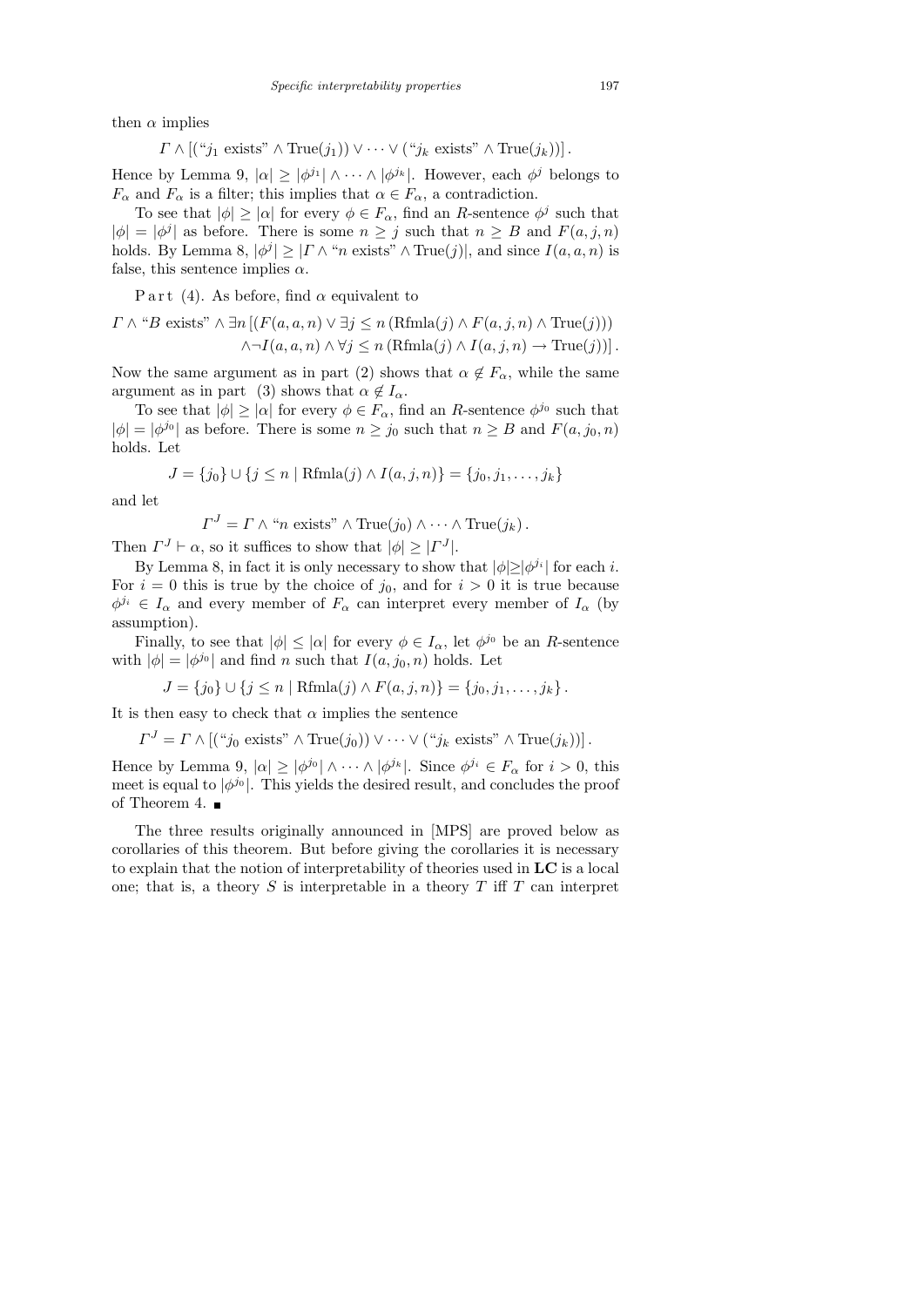then  $\alpha$  implies

$$
\Gamma \wedge [(\text{``}j_1 \text{ exists''} \wedge \text{True}(j_1)) \vee \cdots \vee (\text{``}j_k \text{ exists''} \wedge \text{True}(j_k))].
$$

Hence by Lemma 9,  $|\alpha| \ge |\phi^{j_1}| \wedge \cdots \wedge |\phi^{j_k}|$ . However, each  $\phi^j$  belongs to  $F_{\alpha}$  and  $F_{\alpha}$  is a filter; this implies that  $\alpha \in F_{\alpha}$ , a contradiction.

To see that  $|\phi| \geq |\alpha|$  for every  $\phi \in F_\alpha$ , find an R-sentence  $\phi^j$  such that  $|\phi| = |\phi^j|$  as before. There is some  $n \geq j$  such that  $n \geq B$  and  $F(a, j, n)$ holds. By Lemma 8,  $|\phi^j| \geq |\Gamma \wedge \text{``}n \text{ exists''} \wedge \text{True}(j)|$ , and since  $I(a, a, n)$  is false, this sentence implies  $\alpha$ .

P art (4). As before, find  $\alpha$  equivalent to

$$
\Gamma \wedge \text{``}B \text{ exists''} \wedge \exists n \left[ (F(a, a, n) \vee \exists j \le n \left( \text{Rfmla}(j) \wedge F(a, j, n) \wedge \text{True}(j) \right) \right] \wedge \neg I(a, a, n) \wedge \forall j \le n \left( \text{Rfmla}(j) \wedge I(a, j, n) \rightarrow \text{True}(j) \right) \right].
$$

Now the same argument as in part (2) shows that  $\alpha \notin F_{\alpha}$ , while the same argument as in part (3) shows that  $\alpha \notin I_{\alpha}$ .

To see that  $|\phi| \geq |\alpha|$  for every  $\phi \in F_\alpha$ , find an R-sentence  $\phi^{j_0}$  such that  $|\phi| = |\phi^{j_0}|$  as before. There is some  $n \geq j_0$  such that  $n \geq B$  and  $F(a, j_0, n)$ holds. Let

$$
J = \{j_0\} \cup \{j \le n \mid \text{Rfmla}(j) \land I(a, j, n)\} = \{j_0, j_1, \dots, j_k\}
$$

and let

$$
\Gamma^{J} = \Gamma \wedge "n \text{ exists"} \wedge \text{True}(j_0) \wedge \cdots \wedge \text{True}(j_k).
$$

Then  $\Gamma^J \vdash \alpha$ , so it suffices to show that  $|\phi| \geq |\Gamma^J|$ .

By Lemma 8, in fact it is only necessary to show that  $|\phi| \geq |\phi^{j_i}|$  for each *i*. For  $i = 0$  this is true by the choice of  $j_0$ , and for  $i > 0$  it is true because  $\phi^{j_i} \in I_\alpha$  and every member of  $F_\alpha$  can interpret every member of  $I_\alpha$  (by assumption).

Finally, to see that  $|\phi| \leq |\alpha|$  for every  $\phi \in I_{\alpha}$ , let  $\phi^{j_0}$  be an R-sentence with  $|\phi| = |\phi^{j_0}|$  and find n such that  $I(a, j_0, n)$  holds. Let

$$
J = \{j_0\} \cup \{j \leq n \mid \text{Rfmla}(j) \land F(a, j, n)\} = \{j_0, j_1, \ldots, j_k\}.
$$

It is then easy to check that  $\alpha$  implies the sentence

$$
\Gamma^{J} = \Gamma \wedge [(\text{``}j_0 \text{ exists''} \wedge \text{True}(j_0)) \vee \cdots \vee (\text{``}j_k \text{ exists''} \wedge \text{True}(j_k))].
$$

Hence by Lemma 9,  $|\alpha| \ge |\phi^{j_0}| \wedge \cdots \wedge |\phi^{j_k}|$ . Since  $\phi^{j_i} \in F_\alpha$  for  $i > 0$ , this meet is equal to  $|\phi^{j_0}|$ . This yields the desired result, and concludes the proof of Theorem 4.  $\blacksquare$ 

The three results originally announced in [MPS] are proved below as corollaries of this theorem. But before giving the corollaries it is necessary to explain that the notion of interpretability of theories used in LC is a local one; that is, a theory S is interpretable in a theory T iff T can interpret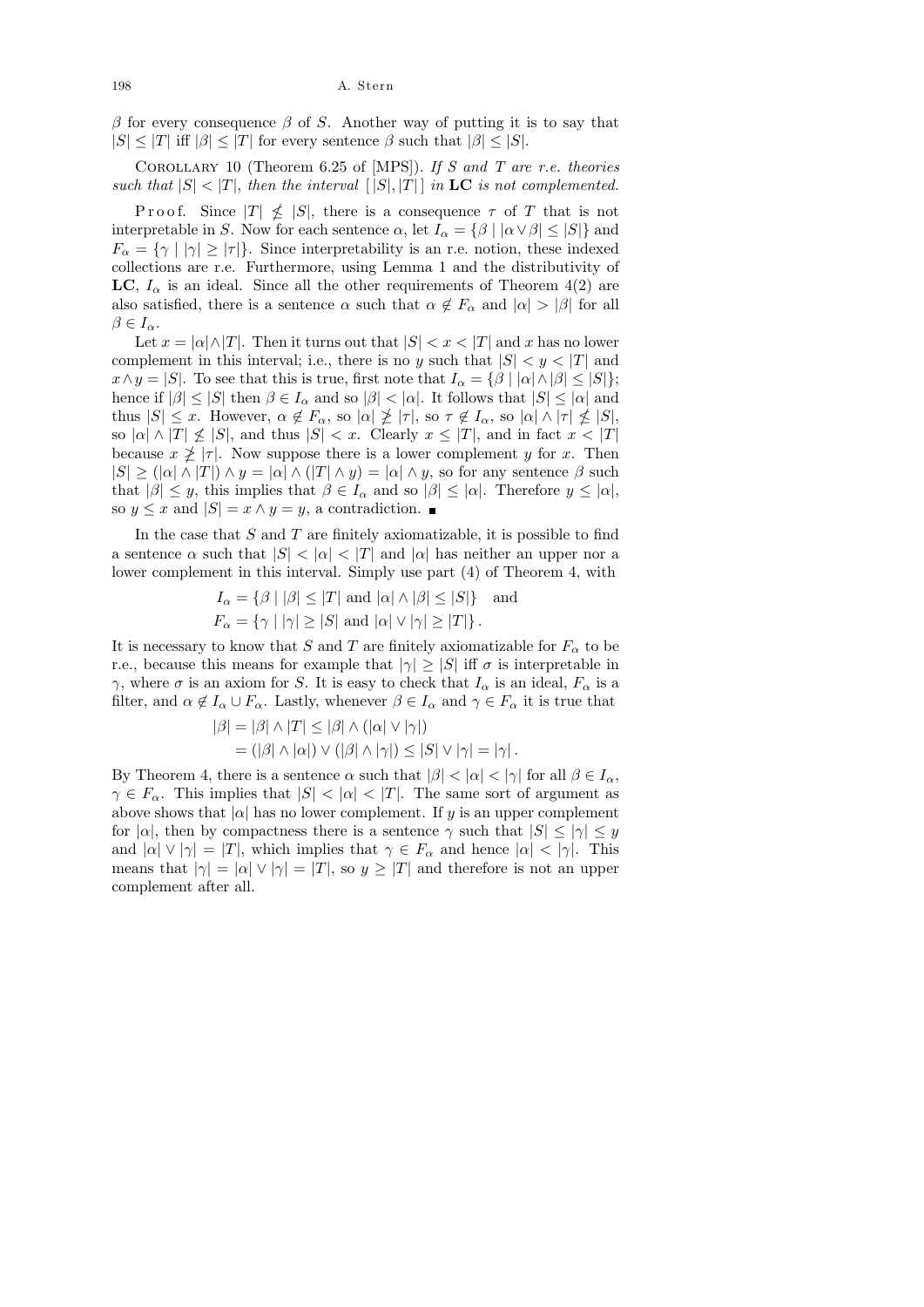β for every consequence β of S. Another way of putting it is to say that  $|S| \leq |T|$  iff  $|\beta| \leq |T|$  for every sentence  $\beta$  such that  $|\beta| \leq |S|$ .

COROLLARY 10 (Theorem 6.25 of [MPS]). If  $S$  and  $T$  are r.e. theories such that  $|S| < |T|$ , then the interval  $[|S|, |T|]$  in **LC** is not complemented.

P r o o f. Since  $|T| \nleq |S|$ , there is a consequence  $\tau$  of T that is not interpretable in S. Now for each sentence  $\alpha$ , let  $I_{\alpha} = {\beta | |\alpha \vee \beta| \leq |S|}$  and  $F_{\alpha} = \{\gamma \mid |\gamma| \geq |\tau|\}.$  Since interpretability is an r.e. notion, these indexed collections are r.e. Furthermore, using Lemma 1 and the distributivity of LC,  $I_{\alpha}$  is an ideal. Since all the other requirements of Theorem 4(2) are also satisfied, there is a sentence  $\alpha$  such that  $\alpha \notin F_{\alpha}$  and  $|\alpha| > |\beta|$  for all  $\beta \in I_{\alpha}$ .

Let  $x = |\alpha| \wedge |T|$ . Then it turns out that  $|S| < x < |T|$  and x has no lower complement in this interval; i.e., there is no y such that  $|S| < y < |T|$  and  $x \wedge y = |S|$ . To see that this is true, first note that  $I_{\alpha} = \{ \beta \mid |\alpha| \wedge |\beta| \leq |S| \};$ hence if  $|\beta| \leq |S|$  then  $\beta \in I_\alpha$  and so  $|\beta| < |\alpha|$ . It follows that  $|S| \leq |\alpha|$  and thus  $|S| \leq x$ . However,  $\alpha \notin F_\alpha$ , so  $|\alpha| \not\geq |\tau|$ , so  $\tau \notin I_\alpha$ , so  $|\alpha| \wedge |\tau| \nleq |S|$ , so  $|\alpha| \wedge |T| \nleq |S|$ , and thus  $|S| < x$ . Clearly  $x \leq |T|$ , and in fact  $x < |T|$ because  $x \not\geq |\tau|$ . Now suppose there is a lower complement y for x. Then  $|S| \geq (|\alpha| \wedge |T|) \wedge y = |\alpha| \wedge (|T| \wedge y) = |\alpha| \wedge y$ , so for any sentence  $\beta$  such that  $|\beta| \leq y$ , this implies that  $\beta \in I_\alpha$  and so  $|\beta| \leq |\alpha|$ . Therefore  $y \leq |\alpha|$ , so  $y \leq x$  and  $|S| = x \wedge y = y$ , a contradiction.

In the case that  $S$  and  $T$  are finitely axiomatizable, it is possible to find a sentence  $\alpha$  such that  $|S| < |\alpha| < |T|$  and  $|\alpha|$  has neither an upper nor a lower complement in this interval. Simply use part (4) of Theorem 4, with

$$
I_{\alpha} = \{ \beta \mid |\beta| \le |T| \text{ and } |\alpha| \wedge |\beta| \le |S| \} \text{ and}
$$
  

$$
F_{\alpha} = \{ \gamma \mid |\gamma| \ge |S| \text{ and } |\alpha| \vee |\gamma| \ge |T| \}.
$$

It is necessary to know that S and T are finitely axiomatizable for  $F_{\alpha}$  to be r.e., because this means for example that  $|\gamma| \geq |S|$  iff  $\sigma$  is interpretable in  $γ$ , where  $σ$  is an axiom for S. It is easy to check that  $I_α$  is an ideal,  $F_α$  is a filter, and  $\alpha \notin I_\alpha \cup F_\alpha$ . Lastly, whenever  $\beta \in I_\alpha$  and  $\gamma \in F_\alpha$  it is true that

$$
|\beta| = |\beta| \land |T| \le |\beta| \land (|\alpha| \lor |\gamma|)
$$
  
= (|\beta| \land |\alpha|) \lor (|\beta| \land |\gamma|) \le |S| \lor |\gamma| = |\gamma|.

By Theorem 4, there is a sentence  $\alpha$  such that  $|\beta| < |\alpha| < |\gamma|$  for all  $\beta \in I_{\alpha}$ ,  $\gamma \in F_\alpha$ . This implies that  $|S| < |\alpha| < |T|$ . The same sort of argument as above shows that  $|\alpha|$  has no lower complement. If y is an upper complement for  $|\alpha|$ , then by compactness there is a sentence  $\gamma$  such that  $|S| \leq |\gamma| \leq y$ and  $|\alpha| \vee |\gamma| = |T|$ , which implies that  $\gamma \in F_\alpha$  and hence  $|\alpha| < |\gamma|$ . This means that  $|\gamma| = |\alpha| \vee |\gamma| = |T|$ , so  $y \geq |T|$  and therefore is not an upper complement after all.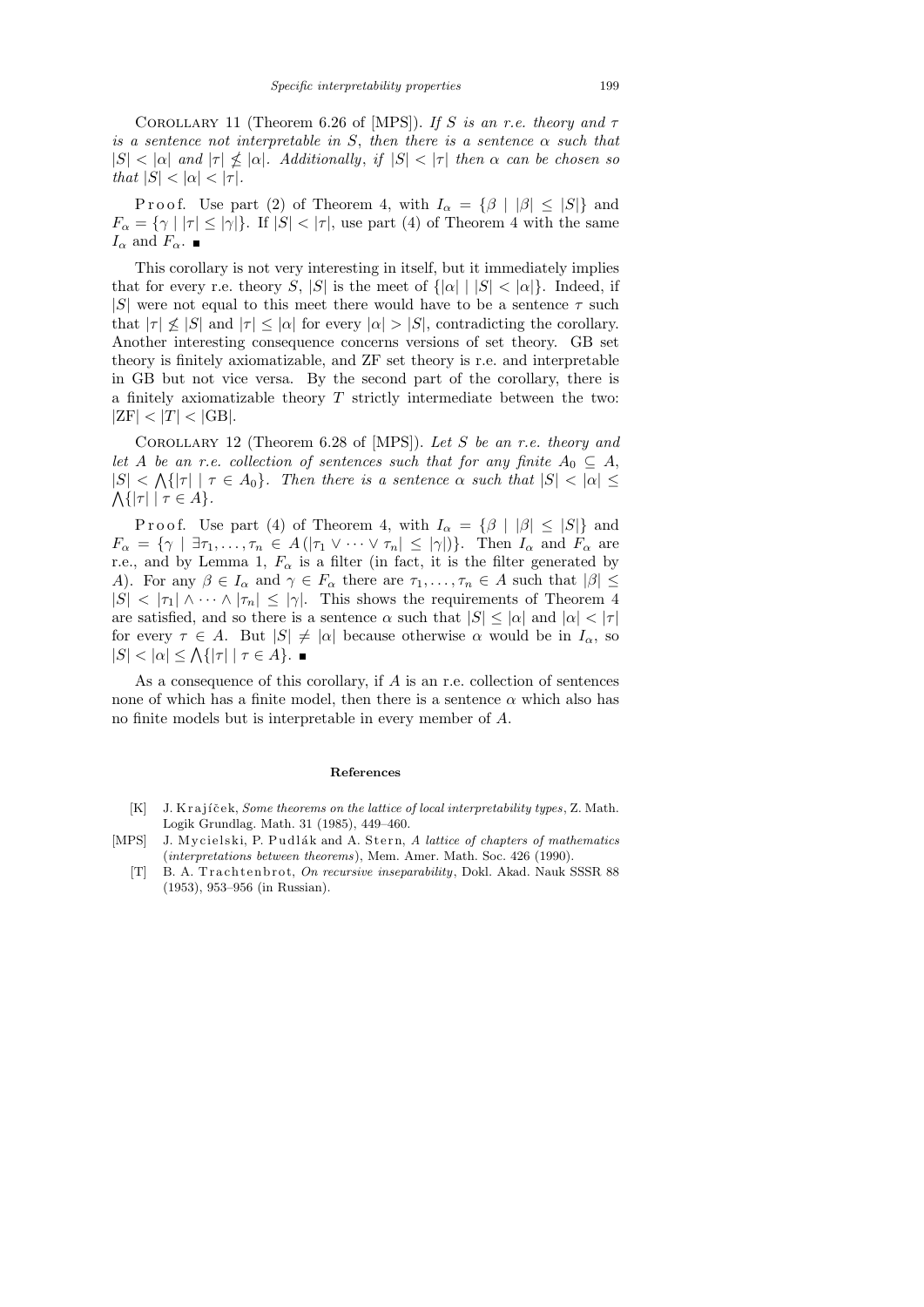COROLLARY 11 (Theorem 6.26 of [MPS]). If S is an r.e. theory and  $\tau$ is a sentence not interpretable in S, then there is a sentence  $\alpha$  such that  $|S| < |\alpha|$  and  $|\tau| \nleq |\alpha|$ . Additionally, if  $|S| < |\tau|$  then  $\alpha$  can be chosen so that  $|S| < |\alpha| < |\tau|$ .

P r o o f. Use part (2) of Theorem 4, with  $I_{\alpha} = {\beta | |\beta| \leq |S|}$  and  $F_{\alpha} = \{ \gamma \mid |\tau| \leq |\gamma| \}.$  If  $|S| < |\tau|$ , use part (4) of Theorem 4 with the same  $I_{\alpha}$  and  $F_{\alpha}$ .

This corollary is not very interesting in itself, but it immediately implies that for every r.e. theory S, |S| is the meet of  $\{|\alpha| \mid |S| < |\alpha|\}$ . Indeed, if |S| were not equal to this meet there would have to be a sentence  $\tau$  such that  $|\tau| \nleq |S|$  and  $|\tau| \leq |\alpha|$  for every  $|\alpha| > |S|$ , contradicting the corollary. Another interesting consequence concerns versions of set theory. GB set theory is finitely axiomatizable, and ZF set theory is r.e. and interpretable in GB but not vice versa. By the second part of the corollary, there is a finitely axiomatizable theory  $T$  strictly intermediate between the two:  $|ZF| < |T| < |GB|$ .

COROLLARY 12 (Theorem 6.28 of [MPS]). Let S be an r.e. theory and let A be an r.e. collection of sentences such that for any finite  $A_0 \subseteq A$ ,  $|S| < \Lambda\{|\tau| \mid \tau \in A_0\}$ . Then there is a sentence  $\alpha$  such that  $|S| < |\alpha| \leq$  $\bigwedge \{ |\tau| \mid \tau \in A \}.$ 

Proof. Use part (4) of Theorem 4, with  $I_{\alpha} = \{\beta | |\beta| \leq |S|\}\$  and  $F_{\alpha} = \{ \gamma \mid \exists \tau_1, \ldots, \tau_n \in A(|\tau_1 \vee \cdots \vee \tau_n| \leq |\gamma|) \}.$  Then  $I_{\alpha}$  and  $F_{\alpha}$  are r.e., and by Lemma 1,  $F_{\alpha}$  is a filter (in fact, it is the filter generated by A). For any  $\beta \in I_\alpha$  and  $\gamma \in F_\alpha$  there are  $\tau_1, \ldots, \tau_n \in A$  such that  $|\beta| \leq$  $|S| < |\tau_1| \wedge \cdots \wedge |\tau_n| \leq |\gamma|$ . This shows the requirements of Theorem 4 are satisfied, and so there is a sentence  $\alpha$  such that  $|S| \leq |\alpha|$  and  $|\alpha| < |\tau|$ for every  $\tau \in A$ . But  $|S| \neq |\alpha|$  because otherwise  $\alpha$  would be in  $I_{\alpha}$ , so  $|S| < |\alpha| \leq \Lambda\{|\tau| \mid \tau \in A\}.$ 

As a consequence of this corollary, if A is an r.e. collection of sentences none of which has a finite model, then there is a sentence  $\alpha$  which also has no finite models but is interpretable in every member of A.

#### **References**

- [K] J. K r a jíček, *Some theorems on the lattice of local interpretability types*, Z. Math. Logik Grundlag. Math. 31 (1985), 449–460.
- [MPS] J. Mycielski, P. Pudlák and A. Stern, A lattice of chapters of mathematics (*interpretations between theorems*), Mem. Amer. Math. Soc. 426 (1990).
	- [T] B. A. Trachtenbrot, *On recursive inseparability*, Dokl. Akad. Nauk SSSR 88 (1953), 953–956 (in Russian).